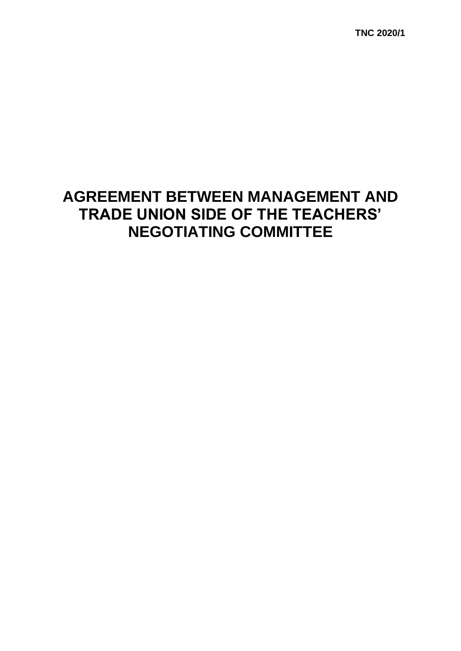**TNC 2020/1**

# **AGREEMENT BETWEEN MANAGEMENT AND TRADE UNION SIDE OF THE TEACHERS' NEGOTIATING COMMITTEE**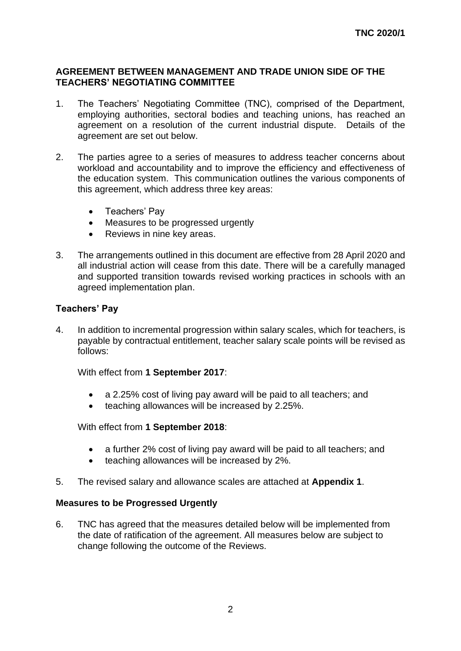#### **AGREEMENT BETWEEN MANAGEMENT AND TRADE UNION SIDE OF THE TEACHERS' NEGOTIATING COMMITTEE**

- 1. The Teachers' Negotiating Committee (TNC), comprised of the Department, employing authorities, sectoral bodies and teaching unions, has reached an agreement on a resolution of the current industrial dispute. Details of the agreement are set out below.
- 2. The parties agree to a series of measures to address teacher concerns about workload and accountability and to improve the efficiency and effectiveness of the education system. This communication outlines the various components of this agreement, which address three key areas:
	- Teachers' Pay
	- Measures to be progressed urgently
	- Reviews in nine key areas.
- 3. The arrangements outlined in this document are effective from 28 April 2020 and all industrial action will cease from this date. There will be a carefully managed and supported transition towards revised working practices in schools with an agreed implementation plan.

# **Teachers' Pay**

4. In addition to incremental progression within salary scales, which for teachers, is payable by contractual entitlement, teacher salary scale points will be revised as follows:

With effect from **1 September 2017**:

- a 2.25% cost of living pay award will be paid to all teachers; and
- teaching allowances will be increased by 2.25%.

With effect from **1 September 2018**:

- a further 2% cost of living pay award will be paid to all teachers; and
- teaching allowances will be increased by 2%.
- 5. The revised salary and allowance scales are attached at **Appendix 1**.

# **Measures to be Progressed Urgently**

6. TNC has agreed that the measures detailed below will be implemented from the date of ratification of the agreement. All measures below are subject to change following the outcome of the Reviews.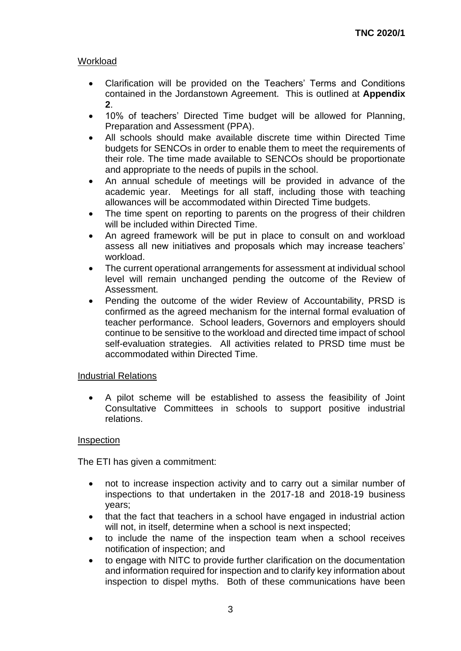# Workload

- Clarification will be provided on the Teachers' Terms and Conditions contained in the Jordanstown Agreement. This is outlined at **Appendix 2**.
- 10% of teachers' Directed Time budget will be allowed for Planning, Preparation and Assessment (PPA).
- All schools should make available discrete time within Directed Time budgets for SENCOs in order to enable them to meet the requirements of their role. The time made available to SENCOs should be proportionate and appropriate to the needs of pupils in the school.
- An annual schedule of meetings will be provided in advance of the academic year. Meetings for all staff, including those with teaching allowances will be accommodated within Directed Time budgets.
- The time spent on reporting to parents on the progress of their children will be included within Directed Time.
- An agreed framework will be put in place to consult on and workload assess all new initiatives and proposals which may increase teachers' workload.
- The current operational arrangements for assessment at individual school level will remain unchanged pending the outcome of the Review of Assessment.
- Pending the outcome of the wider Review of Accountability, PRSD is confirmed as the agreed mechanism for the internal formal evaluation of teacher performance. School leaders, Governors and employers should continue to be sensitive to the workload and directed time impact of school self-evaluation strategies. All activities related to PRSD time must be accommodated within Directed Time.

# Industrial Relations

• A pilot scheme will be established to assess the feasibility of Joint Consultative Committees in schools to support positive industrial relations.

# Inspection

The ETI has given a commitment:

- not to increase inspection activity and to carry out a similar number of inspections to that undertaken in the 2017-18 and 2018-19 business years;
- that the fact that teachers in a school have engaged in industrial action will not, in itself, determine when a school is next inspected;
- to include the name of the inspection team when a school receives notification of inspection; and
- to engage with NITC to provide further clarification on the documentation and information required for inspection and to clarify key information about inspection to dispel myths. Both of these communications have been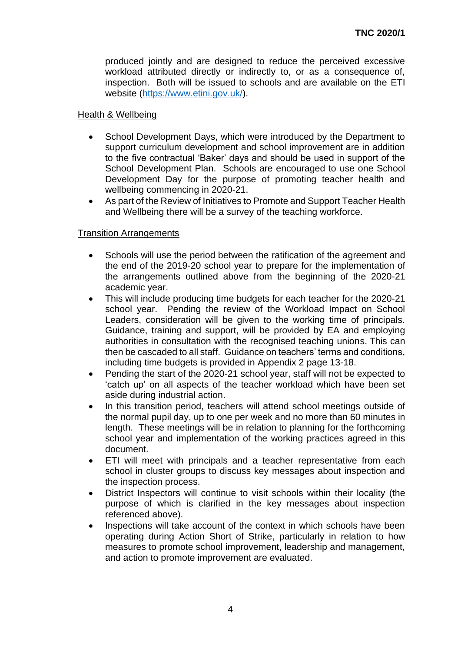produced jointly and are designed to reduce the perceived excessive workload attributed directly or indirectly to, or as a consequence of, inspection. Both will be issued to schools and are available on the ETI website [\(https://www.etini.gov.uk/\)](https://www.etini.gov.uk/).

# Health & Wellbeing

- School Development Days, which were introduced by the Department to support curriculum development and school improvement are in addition to the five contractual 'Baker' days and should be used in support of the School Development Plan. Schools are encouraged to use one School Development Day for the purpose of promoting teacher health and wellbeing commencing in 2020-21.
- As part of the Review of Initiatives to Promote and Support Teacher Health and Wellbeing there will be a survey of the teaching workforce.

# Transition Arrangements

- Schools will use the period between the ratification of the agreement and the end of the 2019-20 school year to prepare for the implementation of the arrangements outlined above from the beginning of the 2020-21 academic year.
- This will include producing time budgets for each teacher for the 2020-21 school year. Pending the review of the Workload Impact on School Leaders, consideration will be given to the working time of principals. Guidance, training and support, will be provided by EA and employing authorities in consultation with the recognised teaching unions. This can then be cascaded to all staff. Guidance on teachers' terms and conditions, including time budgets is provided in Appendix 2 page 13-18.
- Pending the start of the 2020-21 school year, staff will not be expected to 'catch up' on all aspects of the teacher workload which have been set aside during industrial action.
- In this transition period, teachers will attend school meetings outside of the normal pupil day, up to one per week and no more than 60 minutes in length. These meetings will be in relation to planning for the forthcoming school year and implementation of the working practices agreed in this document.
- ETI will meet with principals and a teacher representative from each school in cluster groups to discuss key messages about inspection and the inspection process.
- District Inspectors will continue to visit schools within their locality (the purpose of which is clarified in the key messages about inspection referenced above).
- Inspections will take account of the context in which schools have been operating during Action Short of Strike, particularly in relation to how measures to promote school improvement, leadership and management, and action to promote improvement are evaluated.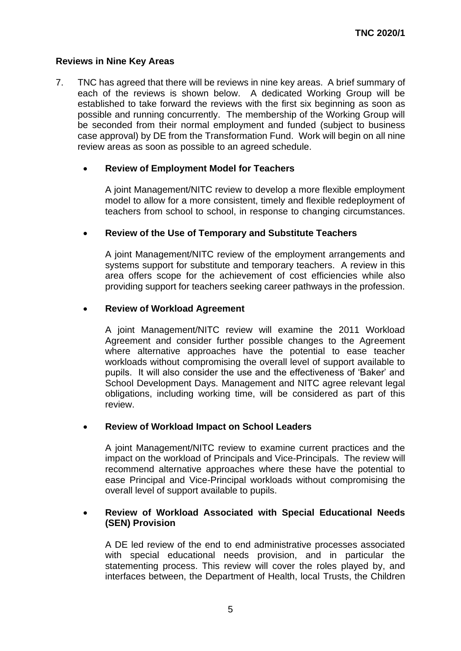# **Reviews in Nine Key Areas**

7. TNC has agreed that there will be reviews in nine key areas. A brief summary of each of the reviews is shown below. A dedicated Working Group will be established to take forward the reviews with the first six beginning as soon as possible and running concurrently. The membership of the Working Group will be seconded from their normal employment and funded (subject to business case approval) by DE from the Transformation Fund. Work will begin on all nine review areas as soon as possible to an agreed schedule.

# • **Review of Employment Model for Teachers**

A joint Management/NITC review to develop a more flexible employment model to allow for a more consistent, timely and flexible redeployment of teachers from school to school, in response to changing circumstances.

# • **Review of the Use of Temporary and Substitute Teachers**

A joint Management/NITC review of the employment arrangements and systems support for substitute and temporary teachers. A review in this area offers scope for the achievement of cost efficiencies while also providing support for teachers seeking career pathways in the profession.

# • **Review of Workload Agreement**

A joint Management/NITC review will examine the 2011 Workload Agreement and consider further possible changes to the Agreement where alternative approaches have the potential to ease teacher workloads without compromising the overall level of support available to pupils. It will also consider the use and the effectiveness of 'Baker' and School Development Days. Management and NITC agree relevant legal obligations, including working time, will be considered as part of this review.

# • **Review of Workload Impact on School Leaders**

A joint Management/NITC review to examine current practices and the impact on the workload of Principals and Vice-Principals. The review will recommend alternative approaches where these have the potential to ease Principal and Vice-Principal workloads without compromising the overall level of support available to pupils.

#### • **Review of Workload Associated with Special Educational Needs (SEN) Provision**

A DE led review of the end to end administrative processes associated with special educational needs provision, and in particular the statementing process. This review will cover the roles played by, and interfaces between, the Department of Health, local Trusts, the Children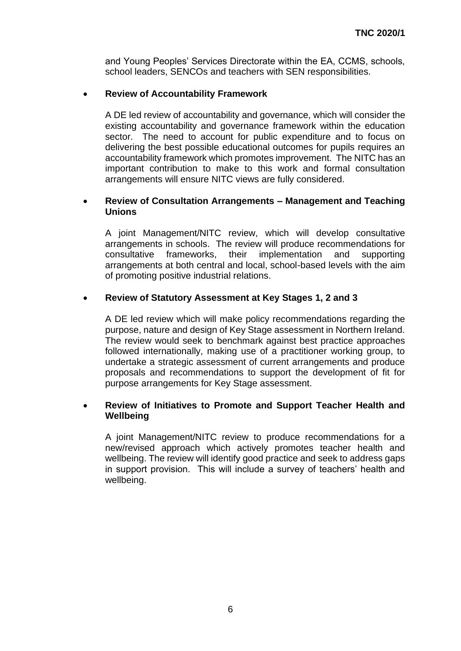and Young Peoples' Services Directorate within the EA, CCMS, schools, school leaders, SENCOs and teachers with SEN responsibilities.

# • **Review of Accountability Framework**

A DE led review of accountability and governance, which will consider the existing accountability and governance framework within the education sector. The need to account for public expenditure and to focus on delivering the best possible educational outcomes for pupils requires an accountability framework which promotes improvement. The NITC has an important contribution to make to this work and formal consultation arrangements will ensure NITC views are fully considered.

# • **Review of Consultation Arrangements – Management and Teaching Unions**

A joint Management/NITC review, which will develop consultative arrangements in schools. The review will produce recommendations for consultative frameworks, their implementation and supporting arrangements at both central and local, school-based levels with the aim of promoting positive industrial relations.

# • **Review of Statutory Assessment at Key Stages 1, 2 and 3**

A DE led review which will make policy recommendations regarding the purpose, nature and design of Key Stage assessment in Northern Ireland. The review would seek to benchmark against best practice approaches followed internationally, making use of a practitioner working group, to undertake a strategic assessment of current arrangements and produce proposals and recommendations to support the development of fit for purpose arrangements for Key Stage assessment.

# • **Review of Initiatives to Promote and Support Teacher Health and Wellbeing**

A joint Management/NITC review to produce recommendations for a new/revised approach which actively promotes teacher health and wellbeing. The review will identify good practice and seek to address gaps in support provision. This will include a survey of teachers' health and wellbeing.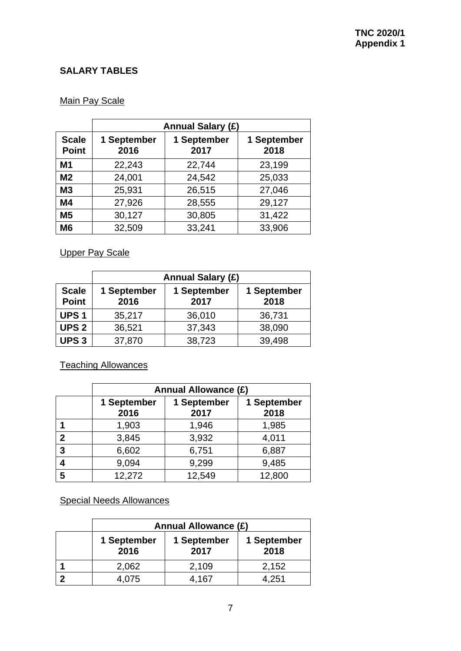# **SALARY TABLES**

# Main Pay Scale

|                              | <b>Annual Salary (£)</b> |                     |                     |  |
|------------------------------|--------------------------|---------------------|---------------------|--|
| <b>Scale</b><br><b>Point</b> | 1 September<br>2016      | 1 September<br>2017 | 1 September<br>2018 |  |
| M1                           | 22,243                   | 22,744              | 23,199              |  |
| M <sub>2</sub>               | 24,001                   | 24,542              | 25,033              |  |
| <b>M3</b>                    | 25,931                   | 26,515              | 27,046              |  |
| M4                           | 27,926                   | 28,555              | 29,127              |  |
| M <sub>5</sub>               | 30,127                   | 30,805              | 31,422              |  |
| M <sub>6</sub>               | 32,509                   | 33,241              | 33,906              |  |

Upper Pay Scale

|                              | <b>Annual Salary (£)</b>                   |        |                     |  |
|------------------------------|--------------------------------------------|--------|---------------------|--|
| <b>Scale</b><br><b>Point</b> | 1 September<br>1 September<br>2016<br>2017 |        | 1 September<br>2018 |  |
| <b>UPS1</b>                  | 35,217                                     | 36,010 | 36,731              |  |
| <b>UPS 2</b>                 | 36,521                                     | 37,343 | 38,090              |  |
| <b>UPS3</b>                  | 37,870                                     | 38,723 | 39,498              |  |

Teaching Allowances

|   | <b>Annual Allowance (£)</b> |                     |                     |  |
|---|-----------------------------|---------------------|---------------------|--|
|   | 1 September<br>2016         | 1 September<br>2017 | 1 September<br>2018 |  |
|   | 1,903                       | 1,946               | 1,985               |  |
| 2 | 3,845                       | 3,932               | 4,011               |  |
| 3 | 6,602                       | 6,751               | 6,887               |  |
|   | 9,094                       | 9,299               | 9,485               |  |
| 5 | 12,272                      | 12,549              | 12,800              |  |

Special Needs Allowances

| <b>Annual Allowance (£)</b>                |       |                     |  |
|--------------------------------------------|-------|---------------------|--|
| 1 September<br>1 September<br>2017<br>2016 |       | 1 September<br>2018 |  |
| 2,062                                      | 2,109 | 2,152               |  |
| 4.075                                      | 4,167 | 4,251               |  |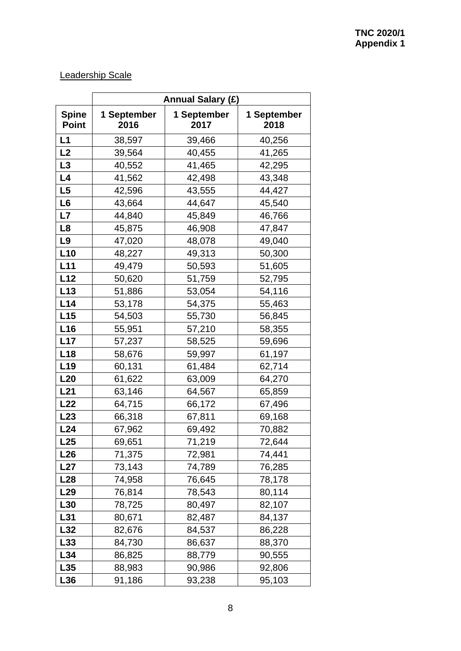# Leadership Scale

|                              | <b>Annual Salary (£)</b> |                     |                     |  |
|------------------------------|--------------------------|---------------------|---------------------|--|
| <b>Spine</b><br><b>Point</b> | 1 September<br>2016      | 1 September<br>2017 | 1 September<br>2018 |  |
| L1                           | 38,597                   | 39,466              | 40,256              |  |
| L2                           | 39,564                   | 40,455              | 41,265              |  |
| L3                           | 40,552                   | 41,465              | 42,295              |  |
| L4                           | 41,562                   | 42,498              | 43,348              |  |
| L <sub>5</sub>               | 42,596                   | 43,555              | 44,427              |  |
| L <sub>6</sub>               | 43,664                   | 44,647              | 45,540              |  |
| L7                           | 44,840                   | 45,849              | 46,766              |  |
| L <sub>8</sub>               | 45,875                   | 46,908              | 47,847              |  |
| L9                           | 47,020                   | 48,078              | 49,040              |  |
| L10                          | 48,227                   | 49,313              | 50,300              |  |
| L11                          | 49,479                   | 50,593              | 51,605              |  |
| L12                          | 50,620                   | 51,759              | 52,795              |  |
| L13                          | 51,886                   | 53,054              | 54,116              |  |
| L14                          | 53,178                   | 54,375              | 55,463              |  |
| L15                          | 54,503                   | 55,730              | 56,845              |  |
| L16                          | 55,951                   | 57,210              | 58,355              |  |
| L17                          | 57,237                   | 58,525              | 59,696              |  |
| L18                          | 58,676                   | 59,997              | 61,197              |  |
| L <sub>19</sub>              | 60,131                   | 61,484              | 62,714              |  |
| L20                          | 61,622                   | 63,009              | 64,270              |  |
| L21                          | 63,146                   | 64,567              | 65,859              |  |
| L22                          | 64,715                   | 66,172              | 67,496              |  |
| L23                          | 66,318                   | 67,811              | 69,168              |  |
| L24                          | 67,962                   | 69,492              | 70,882              |  |
| L25                          | 69,651                   | 71,219              | 72,644              |  |
| L26                          | 71,375                   | 72,981              | 74,441              |  |
| L27                          | 73,143                   | 76,285<br>74,789    |                     |  |
| L28                          | 74,958                   | 76,645              | 78,178              |  |
| L <sub>29</sub>              | 76,814                   | 78,543              | 80,114              |  |
| L30                          | 78,725                   | 80,497              | 82,107              |  |
| L31                          | 80,671                   | 82,487              | 84,137              |  |
| L32                          | 82,676                   | 84,537              | 86,228              |  |
| L33                          | 84,730                   | 86,637              | 88,370              |  |
| L34                          | 86,825                   | 88,779              | 90,555              |  |
| L35                          | 88,983                   | 90,986              | 92,806              |  |
| L36                          | 91,186                   | 93,238<br>95,103    |                     |  |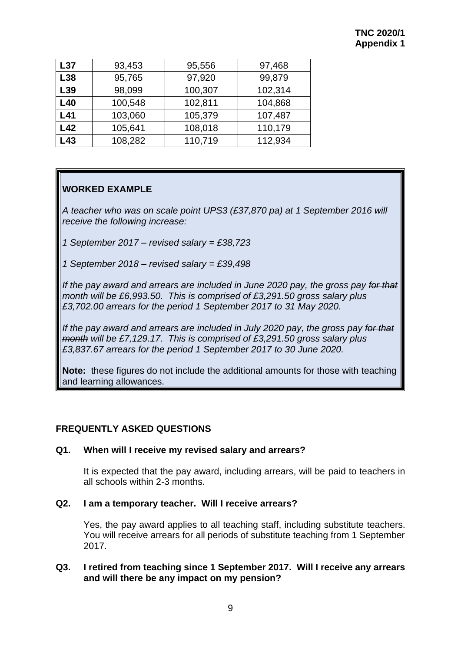| L37 | 93,453  | 95,556  | 97,468  |
|-----|---------|---------|---------|
| L38 | 95,765  | 97,920  | 99,879  |
| L39 | 98,099  | 100,307 | 102,314 |
| L40 | 100,548 | 102,811 | 104,868 |
| L41 | 103,060 | 105,379 | 107,487 |
| L42 | 105,641 | 108,018 | 110,179 |
| L43 | 108,282 | 110,719 | 112,934 |

# **WORKED EXAMPLE**

*A teacher who was on scale point UPS3 (£37,870 pa) at 1 September 2016 will receive the following increase:*

*1 September 2017 – revised salary = £38,723*

*1 September 2018 – revised salary = £39,498*

*If the pay award and arrears are included in June 2020 pay, the gross pay for that month will be £6,993.50. This is comprised of £3,291.50 gross salary plus £3,702.00 arrears for the period 1 September 2017 to 31 May 2020.*

*If the pay award and arrears are included in July 2020 pay, the gross pay for that month will be £7,129.17. This is comprised of £3,291.50 gross salary plus £3,837.67 arrears for the period 1 September 2017 to 30 June 2020.*

**Note:** these figures do not include the additional amounts for those with teaching and learning allowances.

# **FREQUENTLY ASKED QUESTIONS**

# **Q1. When will I receive my revised salary and arrears?**

It is expected that the pay award, including arrears, will be paid to teachers in all schools within 2-3 months.

# **Q2. I am a temporary teacher. Will I receive arrears?**

Yes, the pay award applies to all teaching staff, including substitute teachers. You will receive arrears for all periods of substitute teaching from 1 September 2017.

# **Q3. I retired from teaching since 1 September 2017. Will I receive any arrears and will there be any impact on my pension?**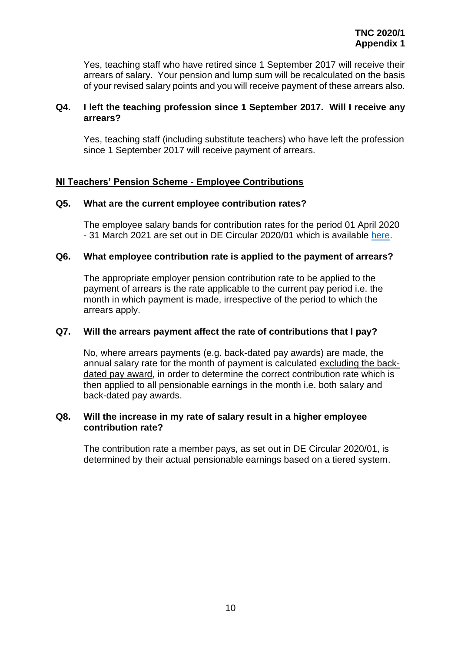Yes, teaching staff who have retired since 1 September 2017 will receive their arrears of salary. Your pension and lump sum will be recalculated on the basis of your revised salary points and you will receive payment of these arrears also.

# **Q4. I left the teaching profession since 1 September 2017. Will I receive any arrears?**

Yes, teaching staff (including substitute teachers) who have left the profession since 1 September 2017 will receive payment of arrears.

# **NI Teachers' Pension Scheme - Employee Contributions**

# **Q5. What are the current employee contribution rates?**

The employee salary bands for contribution rates for the period 01 April 2020 - 31 March 2021 are set out in DE Circular 2020/01 which is available [here.](https://www.education-ni.gov.uk/publications/circular-202001-changes-salary-bands-contribution-rates-members-ni-teachers-pension-scheme-nitps)

# **Q6. What employee contribution rate is applied to the payment of arrears?**

The appropriate employer pension contribution rate to be applied to the payment of arrears is the rate applicable to the current pay period i.e. the month in which payment is made, irrespective of the period to which the arrears apply.

# **Q7. Will the arrears payment affect the rate of contributions that I pay?**

No, where arrears payments (e.g. back-dated pay awards) are made, the annual salary rate for the month of payment is calculated excluding the backdated pay award, in order to determine the correct contribution rate which is then applied to all pensionable earnings in the month i.e. both salary and back-dated pay awards.

#### **Q8. Will the increase in my rate of salary result in a higher employee contribution rate?**

The contribution rate a member pays, as set out in DE Circular 2020/01, is determined by their actual pensionable earnings based on a tiered system.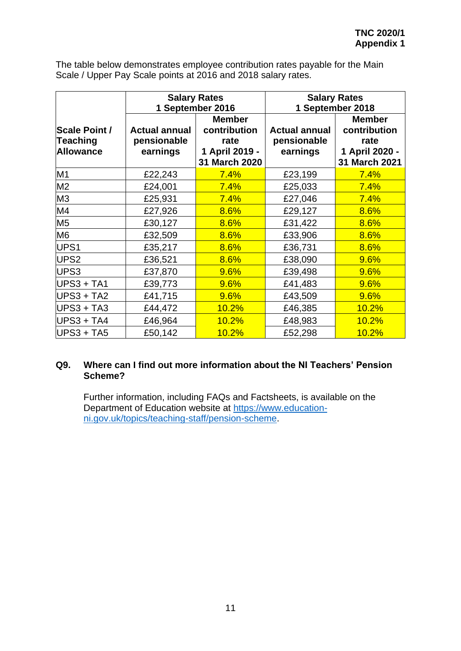The table below demonstrates employee contribution rates payable for the Main Scale / Upper Pay Scale points at 2016 and 2018 salary rates.

|                      | <b>Salary Rates</b>  |                | <b>Salary Rates</b>  |                |
|----------------------|----------------------|----------------|----------------------|----------------|
|                      | 1 September 2016     |                | 1 September 2018     |                |
|                      |                      | <b>Member</b>  |                      | <b>Member</b>  |
| <b>Scale Point /</b> | <b>Actual annual</b> | contribution   | <b>Actual annual</b> | contribution   |
| Teaching             | pensionable          | rate           | pensionable          | rate           |
| <b>Allowance</b>     | earnings             | 1 April 2019 - | earnings             | 1 April 2020 - |
|                      |                      | 31 March 2020  |                      | 31 March 2021  |
| M <sub>1</sub>       | £22,243              | 7.4%           | £23,199              | 7.4%           |
| M <sub>2</sub>       | £24,001              | 7.4%           | £25,033              | 7.4%           |
| M <sub>3</sub>       | £25,931              | 7.4%           | £27,046              | 7.4%           |
| M4                   | £27,926              | 8.6%           | £29,127              | 8.6%           |
| M <sub>5</sub>       | £30,127              | 8.6%           | £31,422              | 8.6%           |
| M6                   | £32,509              | 8.6%           | £33,906              | 8.6%           |
| UPS1                 | £35,217              | 8.6%           | £36,731              | 8.6%           |
| UPS <sub>2</sub>     | £36,521              | 8.6%           | £38,090              | 9.6%           |
| UPS3                 | £37,870              | 9.6%           | £39,498              | 9.6%           |
| UPS3 + TA1           | £39,773              | 9.6%           | £41,483              | 9.6%           |
| UPS3 + TA2           | £41,715              | 9.6%           | £43,509              | 9.6%           |
| UPS3 + TA3           | £44,472              | 10.2%          | £46,385              | 10.2%          |
| UPS3 + TA4           | £46,964              | 10.2%          | £48,983              | 10.2%          |
| UPS3 + TA5           | £50,142              | 10.2%          | £52,298              | 10.2%          |

# **Q9. Where can I find out more information about the NI Teachers' Pension Scheme?**

Further information, including FAQs and Factsheets, is available on the Department of Education website at [https://www.education](https://www.education-ni.gov.uk/topics/teaching-staff/pension-scheme)[ni.gov.uk/topics/teaching-staff/pension-scheme.](https://www.education-ni.gov.uk/topics/teaching-staff/pension-scheme)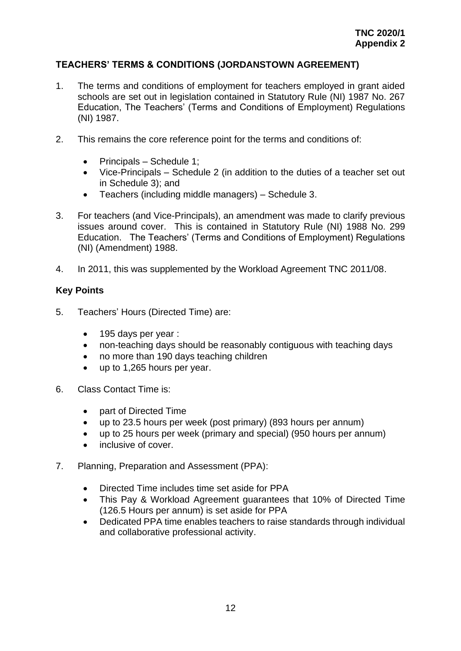# **TEACHERS' TERMS & CONDITIONS (JORDANSTOWN AGREEMENT)**

- 1. The terms and conditions of employment for teachers employed in grant aided schools are set out in legislation contained in Statutory Rule (NI) 1987 No. 267 Education, The Teachers' (Terms and Conditions of Employment) Regulations (NI) 1987.
- 2. This remains the core reference point for the terms and conditions of:
	- Principals Schedule 1;
	- Vice-Principals Schedule 2 (in addition to the duties of a teacher set out in Schedule 3); and
	- Teachers (including middle managers) Schedule 3.
- 3. For teachers (and Vice-Principals), an amendment was made to clarify previous issues around cover. This is contained in Statutory Rule (NI) 1988 No. 299 Education. The Teachers' (Terms and Conditions of Employment) Regulations (NI) (Amendment) 1988.
- 4. In 2011, this was supplemented by the Workload Agreement TNC 2011/08.

# **Key Points**

- 5. Teachers' Hours (Directed Time) are:
	- 195 days per year :
	- non-teaching days should be reasonably contiguous with teaching days
	- no more than 190 days teaching children
	- up to 1,265 hours per year.
- 6. Class Contact Time is:
	- part of Directed Time
	- up to 23.5 hours per week (post primary) (893 hours per annum)
	- up to 25 hours per week (primary and special) (950 hours per annum)
	- inclusive of cover.
- 7. Planning, Preparation and Assessment (PPA):
	- Directed Time includes time set aside for PPA
	- This Pay & Workload Agreement guarantees that 10% of Directed Time (126.5 Hours per annum) is set aside for PPA
	- Dedicated PPA time enables teachers to raise standards through individual and collaborative professional activity.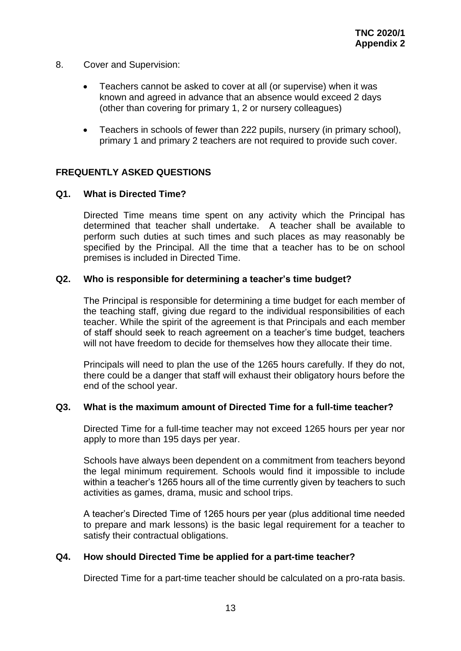- 8. Cover and Supervision:
	- Teachers cannot be asked to cover at all (or supervise) when it was known and agreed in advance that an absence would exceed 2 days (other than covering for primary 1, 2 or nursery colleagues)
	- Teachers in schools of fewer than 222 pupils, nursery (in primary school), primary 1 and primary 2 teachers are not required to provide such cover.

# **FREQUENTLY ASKED QUESTIONS**

#### **Q1. What is Directed Time?**

Directed Time means time spent on any activity which the Principal has determined that teacher shall undertake. A teacher shall be available to perform such duties at such times and such places as may reasonably be specified by the Principal. All the time that a teacher has to be on school premises is included in Directed Time.

#### **Q2. Who is responsible for determining a teacher's time budget?**

The Principal is responsible for determining a time budget for each member of the teaching staff, giving due regard to the individual responsibilities of each teacher. While the spirit of the agreement is that Principals and each member of staff should seek to reach agreement on a teacher's time budget, teachers will not have freedom to decide for themselves how they allocate their time.

Principals will need to plan the use of the 1265 hours carefully. If they do not, there could be a danger that staff will exhaust their obligatory hours before the end of the school year.

#### **Q3. What is the maximum amount of Directed Time for a full-time teacher?**

Directed Time for a full-time teacher may not exceed 1265 hours per year nor apply to more than 195 days per year.

Schools have always been dependent on a commitment from teachers beyond the legal minimum requirement. Schools would find it impossible to include within a teacher's 1265 hours all of the time currently given by teachers to such activities as games, drama, music and school trips.

A teacher's Directed Time of 1265 hours per year (plus additional time needed to prepare and mark lessons) is the basic legal requirement for a teacher to satisfy their contractual obligations.

#### **Q4. How should Directed Time be applied for a part-time teacher?**

Directed Time for a part-time teacher should be calculated on a pro-rata basis.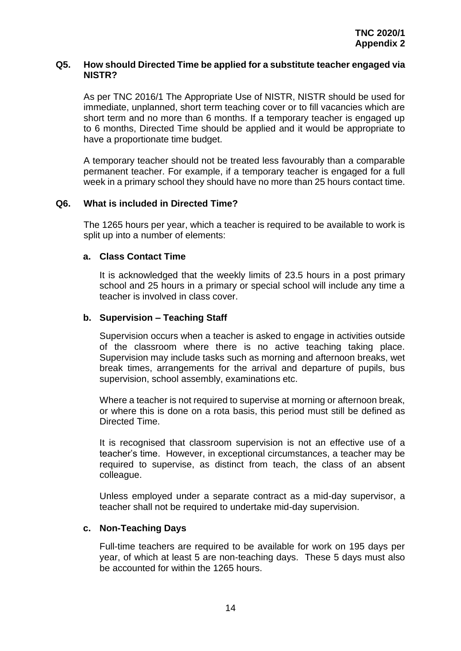#### **Q5. How should Directed Time be applied for a substitute teacher engaged via NISTR?**

As per TNC 2016/1 The Appropriate Use of NISTR, NISTR should be used for immediate, unplanned, short term teaching cover or to fill vacancies which are short term and no more than 6 months. If a temporary teacher is engaged up to 6 months, Directed Time should be applied and it would be appropriate to have a proportionate time budget.

A temporary teacher should not be treated less favourably than a comparable permanent teacher. For example, if a temporary teacher is engaged for a full week in a primary school they should have no more than 25 hours contact time.

# **Q6. What is included in Directed Time?**

The 1265 hours per year, which a teacher is required to be available to work is split up into a number of elements:

#### **a. Class Contact Time**

It is acknowledged that the weekly limits of 23.5 hours in a post primary school and 25 hours in a primary or special school will include any time a teacher is involved in class cover.

#### **b. Supervision – Teaching Staff**

Supervision occurs when a teacher is asked to engage in activities outside of the classroom where there is no active teaching taking place. Supervision may include tasks such as morning and afternoon breaks, wet break times, arrangements for the arrival and departure of pupils, bus supervision, school assembly, examinations etc.

Where a teacher is not required to supervise at morning or afternoon break, or where this is done on a rota basis, this period must still be defined as Directed Time.

It is recognised that classroom supervision is not an effective use of a teacher's time. However, in exceptional circumstances, a teacher may be required to supervise, as distinct from teach, the class of an absent colleague.

Unless employed under a separate contract as a mid-day supervisor, a teacher shall not be required to undertake mid-day supervision.

# **c. Non-Teaching Days**

Full-time teachers are required to be available for work on 195 days per year, of which at least 5 are non-teaching days. These 5 days must also be accounted for within the 1265 hours.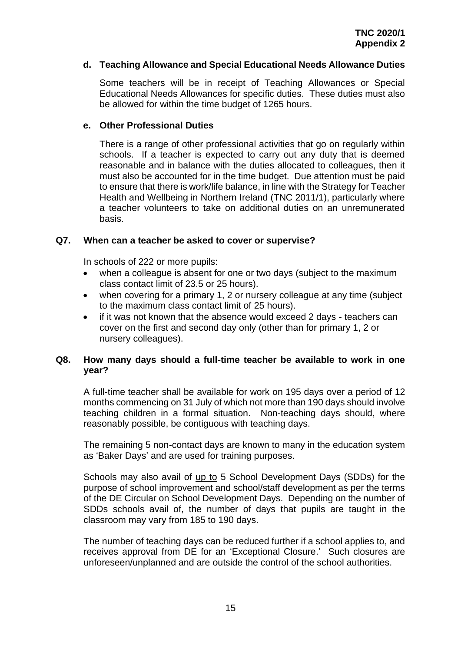# **d. Teaching Allowance and Special Educational Needs Allowance Duties**

Some teachers will be in receipt of Teaching Allowances or Special Educational Needs Allowances for specific duties. These duties must also be allowed for within the time budget of 1265 hours.

# **e. Other Professional Duties**

There is a range of other professional activities that go on regularly within schools. If a teacher is expected to carry out any duty that is deemed reasonable and in balance with the duties allocated to colleagues, then it must also be accounted for in the time budget. Due attention must be paid to ensure that there is work/life balance, in line with the Strategy for Teacher Health and Wellbeing in Northern Ireland (TNC 2011/1), particularly where a teacher volunteers to take on additional duties on an unremunerated basis.

# **Q7. When can a teacher be asked to cover or supervise?**

In schools of 222 or more pupils:

- when a colleague is absent for one or two days (subject to the maximum class contact limit of 23.5 or 25 hours).
- when covering for a primary 1, 2 or nursery colleague at any time (subject to the maximum class contact limit of 25 hours).
- if it was not known that the absence would exceed 2 days teachers can cover on the first and second day only (other than for primary 1, 2 or nursery colleagues).

# **Q8. How many days should a full-time teacher be available to work in one year?**

A full-time teacher shall be available for work on 195 days over a period of 12 months commencing on 31 July of which not more than 190 days should involve teaching children in a formal situation. Non-teaching days should, where reasonably possible, be contiguous with teaching days.

The remaining 5 non-contact days are known to many in the education system as 'Baker Days' and are used for training purposes.

Schools may also avail of up to 5 School Development Days (SDDs) for the purpose of school improvement and school/staff development as per the terms of the DE Circular on School Development Days. Depending on the number of SDDs schools avail of, the number of days that pupils are taught in the classroom may vary from 185 to 190 days.

The number of teaching days can be reduced further if a school applies to, and receives approval from DE for an 'Exceptional Closure.' Such closures are unforeseen/unplanned and are outside the control of the school authorities.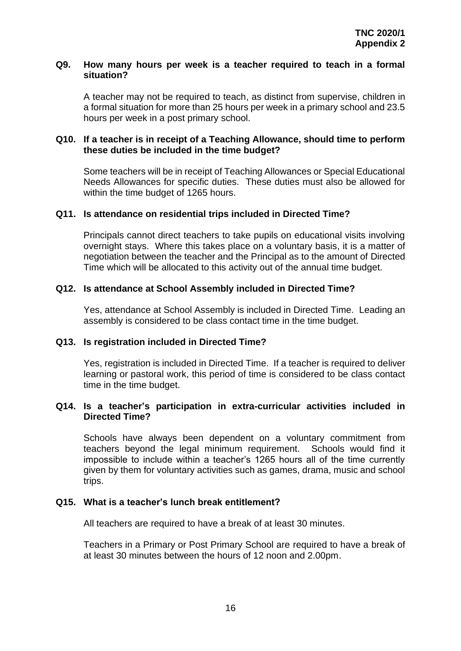#### **Q9. How many hours per week is a teacher required to teach in a formal situation?**

A teacher may not be required to teach, as distinct from supervise, children in a formal situation for more than 25 hours per week in a primary school and 23.5 hours per week in a post primary school.

# **Q10. If a teacher is in receipt of a Teaching Allowance, should time to perform these duties be included in the time budget?**

Some teachers will be in receipt of Teaching Allowances or Special Educational Needs Allowances for specific duties. These duties must also be allowed for within the time budget of 1265 hours.

# **Q11. Is attendance on residential trips included in Directed Time?**

Principals cannot direct teachers to take pupils on educational visits involving overnight stays. Where this takes place on a voluntary basis, it is a matter of negotiation between the teacher and the Principal as to the amount of Directed Time which will be allocated to this activity out of the annual time budget.

#### **Q12. Is attendance at School Assembly included in Directed Time?**

Yes, attendance at School Assembly is included in Directed Time. Leading an assembly is considered to be class contact time in the time budget.

# **Q13. Is registration included in Directed Time?**

Yes, registration is included in Directed Time. If a teacher is required to deliver learning or pastoral work, this period of time is considered to be class contact time in the time budget.

# **Q14. Is a teacher's participation in extra-curricular activities included in Directed Time?**

Schools have always been dependent on a voluntary commitment from teachers beyond the legal minimum requirement. Schools would find it impossible to include within a teacher's 1265 hours all of the time currently given by them for voluntary activities such as games, drama, music and school trips.

#### **Q15. What is a teacher's lunch break entitlement?**

All teachers are required to have a break of at least 30 minutes.

Teachers in a Primary or Post Primary School are required to have a break of at least 30 minutes between the hours of 12 noon and 2.00pm.